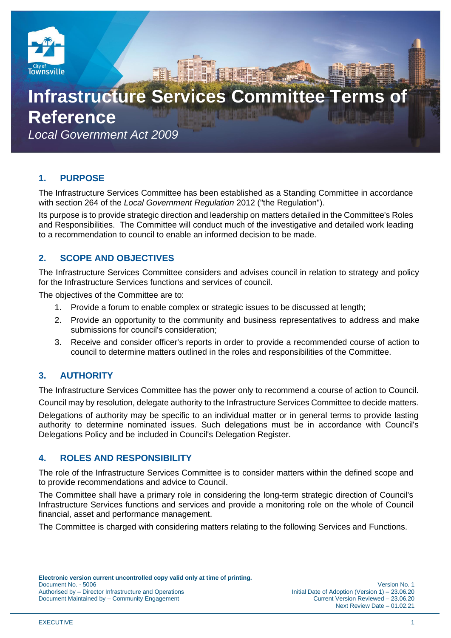

# **Infrastructure Services Committee Terms Reference**

*Local Government Act 2009*

# **1. PURPOSE**

The Infrastructure Services Committee has been established as a Standing Committee in accordance with section 264 of the *Local Government Regulation* 2012 ("the Regulation").

Its purpose is to provide strategic direction and leadership on matters detailed in the Committee's Roles and Responsibilities. The Committee will conduct much of the investigative and detailed work leading to a recommendation to council to enable an informed decision to be made.

# **2. SCOPE AND OBJECTIVES**

The Infrastructure Services Committee considers and advises council in relation to strategy and policy for the Infrastructure Services functions and services of council.

The objectives of the Committee are to:

- 1. Provide a forum to enable complex or strategic issues to be discussed at length;
- 2. Provide an opportunity to the community and business representatives to address and make submissions for council's consideration;
- 3. Receive and consider officer's reports in order to provide a recommended course of action to council to determine matters outlined in the roles and responsibilities of the Committee.

# **3. AUTHORITY**

The Infrastructure Services Committee has the power only to recommend a course of action to Council.

Council may by resolution, delegate authority to the Infrastructure Services Committee to decide matters.

Delegations of authority may be specific to an individual matter or in general terms to provide lasting authority to determine nominated issues. Such delegations must be in accordance with Council's Delegations Policy and be included in Council's Delegation Register.

## **4. ROLES AND RESPONSIBILITY**

The role of the Infrastructure Services Committee is to consider matters within the defined scope and to provide recommendations and advice to Council.

The Committee shall have a primary role in considering the long-term strategic direction of Council's Infrastructure Services functions and services and provide a monitoring role on the whole of Council financial, asset and performance management.

The Committee is charged with considering matters relating to the following Services and Functions.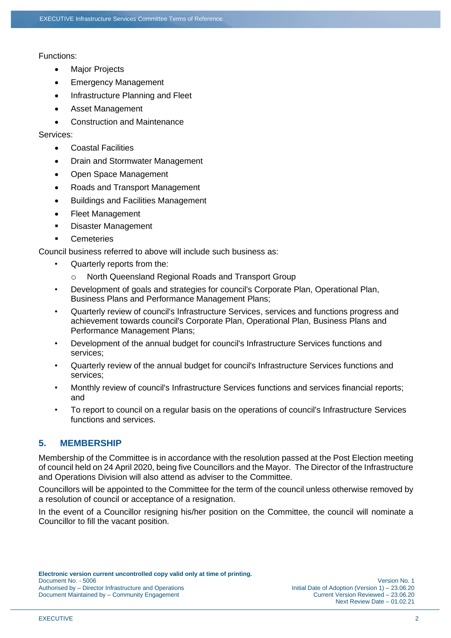#### Functions:

- **Major Projects**
- Emergency Management
- Infrastructure Planning and Fleet
- Asset Management
- Construction and Maintenance

#### Services:

- Coastal Facilities
- Drain and Stormwater Management
- Open Space Management
- Roads and Transport Management
- Buildings and Facilities Management
- Fleet Management
- Disaster Management
- **Cemeteries**

Council business referred to above will include such business as:

- Quarterly reports from the:
	- o North Queensland Regional Roads and Transport Group
- Development of goals and strategies for council's Corporate Plan, Operational Plan, Business Plans and Performance Management Plans;
- Quarterly review of council's Infrastructure Services, services and functions progress and achievement towards council's Corporate Plan, Operational Plan, Business Plans and Performance Management Plans;
- Development of the annual budget for council's Infrastructure Services functions and services;
- Quarterly review of the annual budget for council's Infrastructure Services functions and services;
- Monthly review of council's Infrastructure Services functions and services financial reports; and
- To report to council on a regular basis on the operations of council's Infrastructure Services functions and services.

## **5. MEMBERSHIP**

Membership of the Committee is in accordance with the resolution passed at the Post Election meeting of council held on 24 April 2020, being five Councillors and the Mayor. The Director of the Infrastructure and Operations Division will also attend as adviser to the Committee.

Councillors will be appointed to the Committee for the term of the council unless otherwise removed by a resolution of council or acceptance of a resignation.

In the event of a Councillor resigning his/her position on the Committee, the council will nominate a Councillor to fill the vacant position.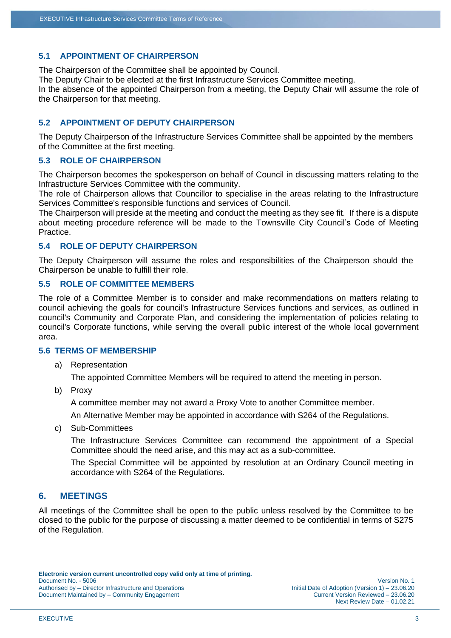#### **5.1 APPOINTMENT OF CHAIRPERSON**

The Chairperson of the Committee shall be appointed by Council. The Deputy Chair to be elected at the first Infrastructure Services Committee meeting. In the absence of the appointed Chairperson from a meeting, the Deputy Chair will assume the role of the Chairperson for that meeting.

#### **5.2 APPOINTMENT OF DEPUTY CHAIRPERSON**

The Deputy Chairperson of the Infrastructure Services Committee shall be appointed by the members of the Committee at the first meeting.

#### **5.3 ROLE OF CHAIRPERSON**

The Chairperson becomes the spokesperson on behalf of Council in discussing matters relating to the Infrastructure Services Committee with the community.

The role of Chairperson allows that Councillor to specialise in the areas relating to the Infrastructure Services Committee's responsible functions and services of Council.

The Chairperson will preside at the meeting and conduct the meeting as they see fit. If there is a dispute about meeting procedure reference will be made to the Townsville City Council's Code of Meeting Practice.

#### **5.4 ROLE OF DEPUTY CHAIRPERSON**

The Deputy Chairperson will assume the roles and responsibilities of the Chairperson should the Chairperson be unable to fulfill their role.

#### **5.5 ROLE OF COMMITTEE MEMBERS**

The role of a Committee Member is to consider and make recommendations on matters relating to council achieving the goals for council's Infrastructure Services functions and services, as outlined in council's Community and Corporate Plan, and considering the implementation of policies relating to council's Corporate functions, while serving the overall public interest of the whole local government area.

#### **5.6 TERMS OF MEMBERSHIP**

a) Representation

The appointed Committee Members will be required to attend the meeting in person.

b) Proxy

A committee member may not award a Proxy Vote to another Committee member.

An Alternative Member may be appointed in accordance with S264 of the Regulations.

c) Sub-Committees

The Infrastructure Services Committee can recommend the appointment of a Special Committee should the need arise, and this may act as a sub-committee.

The Special Committee will be appointed by resolution at an Ordinary Council meeting in accordance with S264 of the Regulations.

#### **6. MEETINGS**

All meetings of the Committee shall be open to the public unless resolved by the Committee to be closed to the public for the purpose of discussing a matter deemed to be confidential in terms of S275 of the Regulation.

Next Review Date – 01.02.21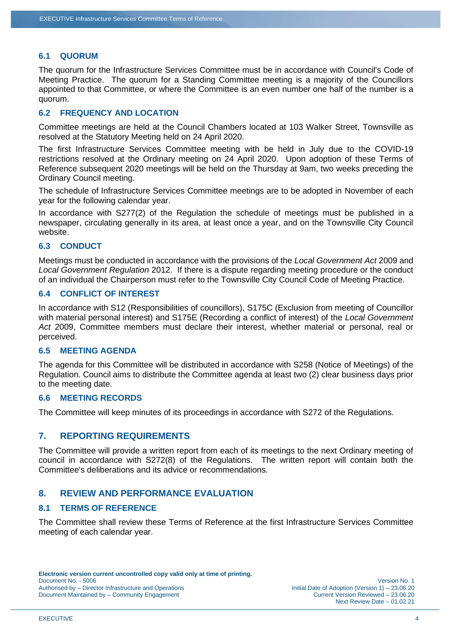#### **6.1 QUORUM**

The quorum for the Infrastructure Services Committee must be in accordance with Council's Code of Meeting Practice. The quorum for a Standing Committee meeting is a majority of the Councillors appointed to that Committee, or where the Committee is an even number one half of the number is a quorum.

#### **6.2 FREQUENCY AND LOCATION**

Committee meetings are held at the Council Chambers located at 103 Walker Street, Townsville as resolved at the Statutory Meeting held on 24 April 2020.

The first Infrastructure Services Committee meeting with be held in July due to the COVID-19 restrictions resolved at the Ordinary meeting on 24 April 2020. Upon adoption of these Terms of Reference subsequent 2020 meetings will be held on the Thursday at 9am, two weeks preceding the Ordinary Council meeting.

The schedule of Infrastructure Services Committee meetings are to be adopted in November of each year for the following calendar year.

In accordance with S277(2) of the Regulation the schedule of meetings must be published in a newspaper, circulating generally in its area, at least once a year, and on the Townsville City Council website.

#### **6.3 CONDUCT**

Meetings must be conducted in accordance with the provisions of the *Local Government Act* 2009 and *Local Government Regulation* 2012. If there is a dispute regarding meeting procedure or the conduct of an individual the Chairperson must refer to the Townsville City Council Code of Meeting Practice.

#### **6.4 CONFLICT OF INTEREST**

In accordance with S12 (Responsibilities of councillors), S175C (Exclusion from meeting of Councillor with material personal interest) and S175E (Recording a conflict of interest) of the *Local Government Act* 2009, Committee members must declare their interest, whether material or personal, real or perceived.

#### **6.5 MEETING AGENDA**

The agenda for this Committee will be distributed in accordance with S258 (Notice of Meetings) of the Regulation. Council aims to distribute the Committee agenda at least two (2) clear business days prior to the meeting date.

#### **6.6 MEETING RECORDS**

The Committee will keep minutes of its proceedings in accordance with S272 of the Regulations.

#### **7. REPORTING REQUIREMENTS**

The Committee will provide a written report from each of its meetings to the next Ordinary meeting of council in accordance with S272(8) of the Regulations. The written report will contain both the Committee's deliberations and its advice or recommendations.

### **8. REVIEW AND PERFORMANCE EVALUATION**

#### **8.1 TERMS OF REFERENCE**

The Committee shall review these Terms of Reference at the first Infrastructure Services Committee meeting of each calendar year.

Next Review Date – 01.02.21